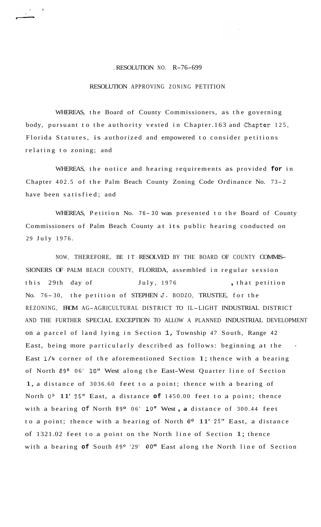## . RESOLUTION NO. R-76-699

## RESOLUTION APPROVING ZONING PETITION

WHEREAS, the Board of County Commissioners, as the governing body, pursuant to the authority vested in Chapter.163 and Chapter 125, Florida Statutes, is authorized and empowered to consider petitions relating to zoning; and

WHEREAS, the notice and hearing requirements as provided **for** in Chapter 402.5 of the Palm Beach County Zoning Code Ordinance No. 73-2 have been satisfied; and

WHEREAS, Petition No. 76-30 was presented to the Board of County Commissioners of Palm Beach County at its public hearing conducted on 29 July 1976.

NOW, THEREFORE, BE IT RESOLVED BY THE BOARD OF COUNTY COMMIS-SIONERS OF PALM BEACH COUNTY, FLORIDA, assembled in regular session this 29th day of July, 1976 , that petition No. 76-30, the petition of STEPHEN J. BODZO, TRUSTEE, for the REZONING, FROM AG-AGRICULTURAL DISTRICT TO IL-LIGHT INDUSTRIAL DISTRICT AND THE FURTHER SPECIAL EXCEPTION TO ALLOW A PLANNED INDUSTRIAL DEVELOPMENT on a parcel of land lying in Section 1, Township 47 South, Range <sup>42</sup> East, being more particularly described as follows: beginning at the \* East **1/4** corner of the aforementioned Section 1; thence with a bearing of North 89° 06' 10" West along the East-West Quarter line of Section 1, a distance of 3036.60 feet to a point; thence with a bearing of North **Oo** 11' 25" East, a distance **of** 1450.00 feet to a point; thence with a bearing of North 89° 06' 10" West, a distance of 300.44 feet to a point; thence with a bearing of North **Oo** 11' 25" East, a distance of 1321.02 feet to a point on the North line of Section 1; thence with a bearing **of** South **89O** '29' 00" East along the North line of Section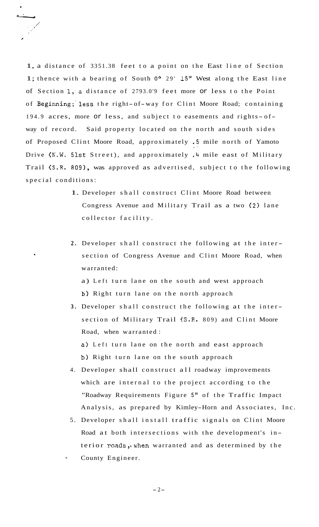1, a distance of 3351.38 feet to a point on the East line of Section 1; thence with a bearing of South **Oo** 29' **15"** West along the East line of Section 1, a distance of 2793.0'9 feet more or less to the Point of Beginning;'less the right- of-way for Clint Moore Road; containing 194.9 acres, more or less, and subject to easements and rights-ofway of record. Said property located on the north and south sides of Proposed Clint Moore Road, approximately .5 mile north of Yamoto .. Drive (N.W. 51st Street), and approximately .4 mile east of Military Trail (S.R. 809), was approved as advertised, subject to the following special conditions:

- 1. Developer shall construct Clint Moore Road between Congress Avenue and Military Trail as a two (2) lane collector facility.
- **2.** Developer shall construct the following at the inter section of Congress Avenue and Clint Moore Road, when warranted:

a) Left turn lane on the south and west approach b) Right turn lane on the north approach

**3.** Developer shall construct the following at the inter section of Military Trail (S.R. 809) and Clint Moore Road, when warranted : a) Left turn lane on the north and east approach

b) Right turn lane on the south approach

- 4. Developer shall construct all roadway improvements which are internal to the project according to the "Roadway Requirements Figure 5" of the Traffic Impact Analysis, as prepared by Kimley-Horn and Associates, Inc.
- 5. Developer shall install traffic signals on Clint Moore Road at both intersections with the development's interior roads, when warranted and as determined by the
- County Engineer.